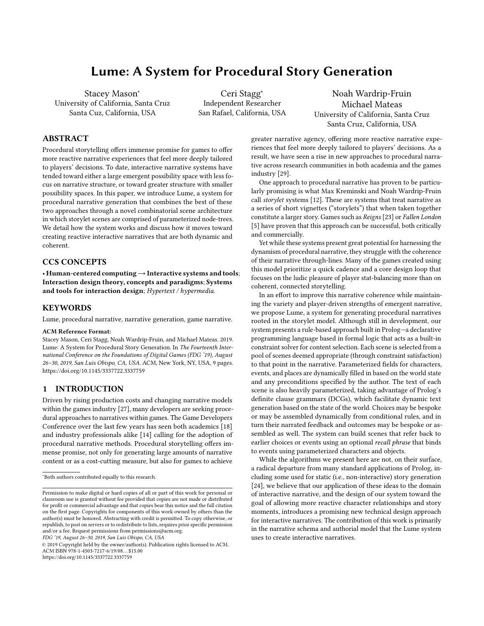# Lume: A System for Procedural Story Generation

Stacey Mason<sup>∗</sup> University of California, Santa Cruz Santa Cuz, California, USA

Ceri Stagg<sup>∗</sup> Independent Researcher San Rafael, California, USA

Noah Wardrip-Fruin Michael Mateas University of California, Santa Cruz Santa Cruz, California, USA

# ABSTRACT

Procedural storytelling offers immense promise for games to offer more reactive narrative experiences that feel more deeply tailored to players' decisions. To date, interactive narrative systems have tended toward either a large emergent possibility space with less focus on narrative structure, or toward greater structure with smaller possibility spaces. In this paper, we introduce Lume, a system for procedural narrative generation that combines the best of these two approaches through a novel combinatorial scene architecture in which storylet scenes are comprised of parameterized node-trees. We detail how the system works and discuss how it moves toward creating reactive interactive narratives that are both dynamic and coherent.

# CCS CONCEPTS

• Human-centered computing→Interactive systems and tools; Interaction design theory, concepts and paradigms; Systems and tools for interaction design; Hypertext / hypermedia.

# **KEYWORDS**

Lume, procedural narrative, narrative generation, game narrative.

#### ACM Reference Format:

Stacey Mason, Ceri Stagg, Noah Wardrip-Fruin, and Michael Mateas. 2019. Lume: A System for Procedural Story Generation. In The Fourteenth International Conference on the Foundations of Digital Games (FDG '19), August 26–30, 2019, San Luis Obispo, CA, USA. ACM, New York, NY, USA, [9](#page-8-0) pages. <https://doi.org/10.1145/3337722.3337759>

# 1 INTRODUCTION

Driven by rising production costs and changing narrative models within the games industry [\[27\]](#page-8-1), many developers are seeking procedural approaches to narratives within games. The Game Developers Conference over the last few years has seen both academics [\[18\]](#page-8-2) and industry professionals alike [\[14\]](#page-8-3) calling for the adoption of procedural narrative methods. Procedural storytelling offers immense promise, not only for generating large amounts of narrative content or as a cost-cutting measure, but also for games to achieve

FDG '19, August 26–30, 2019, San Luis Obispo, CA, USA

© 2019 Copyright held by the owner/author(s). Publication rights licensed to ACM. ACM ISBN 978-1-4503-7217-6/19/08. . . \$15.00 <https://doi.org/10.1145/3337722.3337759>

greater narrative agency, offering more reactive narrative experiences that feel more deeply tailored to players' decisions. As a result, we have seen a rise in new approaches to procedural narrative across research communities in both academia and the games industry [\[29\]](#page-8-4).

One approach to procedural narrative has proven to be particularly promising is what Max Kreminski and Noah Wardrip-Fruin call storylet systems [\[12\]](#page-7-0). These are systems that treat narrative as a series of short vignettes ("storylets") that when taken together constitute a larger story. Games such as Reigns [\[23\]](#page-8-5) or Fallen London [\[5\]](#page-7-1) have proven that this approach can be successful, both critically and commercially.

Yet while these systems present great potential for harnessing the dynamism of procedural narrative, they struggle with the coherence of their narrative through-lines. Many of the games created using this model prioritize a quick cadence and a core design loop that focuses on the ludic pleasure of player stat-balancing more than on coherent, connected storytelling.

In an effort to improve this narrative coherence while maintaining the variety and player-driven strengths of emergent narrative, we propose Lume, a system for generating procedural narratives rooted in the storylet model. Although still in development, our system presents a rule-based approach built in Prolog—a declarative programming language based in formal logic that acts as a built-in constraint solver for content selection. Each scene is selected from a pool of scenes deemed appropriate (through constraint satisfaction) to that point in the narrative. Parameterized fields for characters, events, and places are dynamically filled in based on the world state and any preconditions specified by the author. The text of each scene is also heavily parameterized, taking advantage of Prolog's definite clause grammars (DCGs), which facilitate dynamic text generation based on the state of the world. Choices may be bespoke or may be assembled dynamically from conditional rules, and in turn their narrated feedback and outcomes may be bespoke or assembled as well. The system can build scenes that refer back to earlier choices or events using an optional recall phrase that binds to events using parameterized characters and objects.

While the algorithms we present here are not, on their surface, a radical departure from many standard applications of Prolog, including some used for static (i.e., non-interactive) story generation [\[24\]](#page-8-6), we believe that our application of these ideas to the domain of interactive narrative, and the design of our system toward the goal of allowing more reactive character relationships and story moments, introduces a promising new technical design approach for interactive narratives. The contribution of this work is primarily in the narrative schema and authorial model that the Lume system uses to create interactive narratives.

<sup>∗</sup>Both authors contributed equally to this research.

Permission to make digital or hard copies of all or part of this work for personal or classroom use is granted without fee provided that copies are not made or distributed for profit or commercial advantage and that copies bear this notice and the full citation on the first page. Copyrights for components of this work owned by others than the author(s) must be honored. Abstracting with credit is permitted. To copy otherwise, or republish, to post on servers or to redistribute to lists, requires prior specific permission and/or a fee. Request permissions from permissions@acm.org.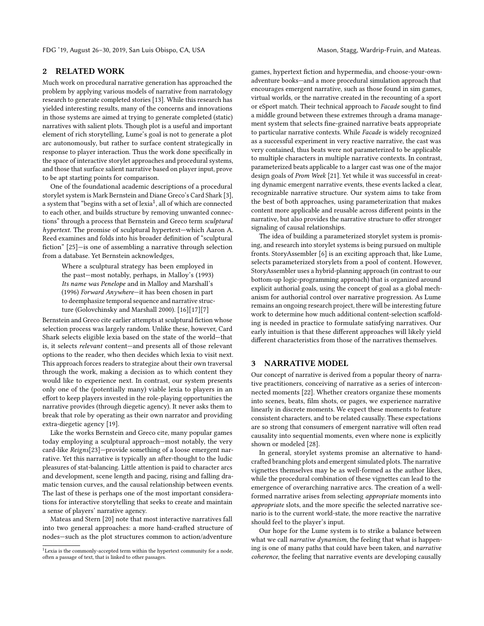# 2 RELATED WORK

Much work on procedural narrative generation has approached the problem by applying various models of narrative from narratology research to generate completed stories [\[13\]](#page-8-7). While this research has yielded interesting results, many of the concerns and innovations in those systems are aimed at trying to generate completed (static) narratives with salient plots. Though plot is a useful and important element of rich storytelling, Lume's goal is not to generate a plot arc autonomously, but rather to surface content strategically in response to player interaction. Thus the work done specifically in the space of interactive storylet approaches and procedural systems, and those that surface salient narrative based on player input, prove to be apt starting points for comparison.

One of the foundational academic descriptions of a procedural storylet system is Mark Bernstein and Diane Greco's Card Shark [\[3\]](#page-7-2), a system that "begins with a set of lexia $^1$  $^1$ , all of which are connected to each other, and builds structure by removing unwanted connections" through a process that Bernstein and Greco term sculptural hypertext. The promise of sculptural hypertext—which Aaron A. Reed examines and folds into his broader definition of "sculptural fiction" [\[25\]](#page-8-8)—is one of assembling a narrative through selection from a database. Yet Bernstein acknowledges,

Where a sculptural strategy has been employed in the past—most notably, perhaps, in Malloy's (1993) Its name was Penelope and in Malloy and Marshall's (1996) Forward Anywhere—it has been chosen in part to deemphasize temporal sequence and narrative structure (Golovchinsky and Marshall 2000). [\[16\]](#page-8-9)[\[17\]](#page-8-10)[\[7\]](#page-7-3)

Bernstein and Greco cite earlier attempts at sculptural fiction whose selection process was largely random. Unlike these, however, Card Shark selects eligible lexia based on the state of the world—that is, it selects relevant content—and presents all of those relevant options to the reader, who then decides which lexia to visit next. This approach forces readers to strategize about their own traversal through the work, making a decision as to which content they would like to experience next. In contrast, our system presents only one of the (potentially many) viable lexia to players in an effort to keep players invested in the role-playing opportunities the narrative provides (through diegetic agency). It never asks them to break that role by operating as their own narrator and providing extra-diegetic agency [\[19\]](#page-8-11).

Like the works Bernstein and Greco cite, many popular games today employing a sculptural approach—most notably, the very card-like Reigns[\[23\]](#page-8-5)—provide something of a loose emergent narrative. Yet this narrative is typically an after-thought to the ludic pleasures of stat-balancing. Little attention is paid to character arcs and development, scene length and pacing, rising and falling dramatic tension curves, and the causal relationship between events. The last of these is perhaps one of the most important considerations for interactive storytelling that seeks to create and maintain a sense of players' narrative agency.

Mateas and Stern [\[20\]](#page-8-12) note that most interactive narratives fall into two general approaches: a more hand-crafted structure of nodes—such as the plot structures common to action/adventure

games, hypertext fiction and hypermedia, and choose-your-ownadventure books—and a more procedural simulation approach that encourages emergent narrative, such as those found in sim games, virtual worlds, or the narrative created in the recounting of a sport or eSport match. Their technical approach to Facade sought to find a middle ground between these extremes through a drama management system that selects fine-grained narrative beats appropriate to particular narrative contexts. While Facade is widely recognized as a successful experiment in very reactive narrative, the cast was very contained, thus beats were not parameterized to be applicable to multiple characters in multiple narrative contexts. In contrast, parameterized beats applicable to a larger cast was one of the major design goals of Prom Week [\[21\]](#page-8-13). Yet while it was successful in creating dynamic emergent narrative events, these events lacked a clear, recognizable narrative structure. Our system aims to take from the best of both approaches, using parameterization that makes content more applicable and reusable across different points in the narrative, but also provides the narrative structure to offer stronger signaling of causal relationships.

The idea of building a parameterized storylet system is promising, and research into storylet systems is being pursued on multiple fronts. StoryAssembler [\[6\]](#page-7-4) is an exciting approach that, like Lume, selects parameterized storylets from a pool of content. However, StoryAssembler uses a hybrid-planning approach (in contrast to our bottom-up logic-programming approach) that is organized around explicit authorial goals, using the concept of goal as a global mechanism for authorial control over narrative progression. As Lume remains an ongoing research project, there will be interesting future work to determine how much additional content-selection scaffolding is needed in practice to formulate satisfying narratives. Our early intuition is that these different approaches will likely yield different characteristics from those of the narratives themselves.

# 3 NARRATIVE MODEL

Our concept of narrative is derived from a popular theory of narrative practitioners, conceiving of narrative as a series of interconnected moments [\[22\]](#page-8-14). Whether creators organize these moments into scenes, beats, film shots, or pages, we experience narrative linearly in discrete moments. We expect these moments to feature consistent characters, and to be related causally. These expectations are so strong that consumers of emergent narrative will often read causality into sequential moments, even where none is explicitly shown or modeled [\[28\]](#page-8-15).

In general, storylet systems promise an alternative to handcrafted branching plots and emergent simulated plots. The narrative vignettes themselves may be as well-formed as the author likes, while the procedural combination of these vignettes can lead to the emergence of overarching narrative arcs. The creation of a wellformed narrative arises from selecting appropriate moments into appropriate slots, and the more specific the selected narrative scenario is to the current world-state, the more reactive the narrative should feel to the player's input.

Our hope for the Lume system is to strike a balance between what we call narrative dynamism, the feeling that what is happening is one of many paths that could have been taken, and narrative coherence, the feeling that narrative events are developing causally

<span id="page-1-0"></span><sup>&</sup>lt;sup>1</sup> Lexia is the commonly-accepted term within the hypertext community for a node, often a passage of text, that is linked to other passages.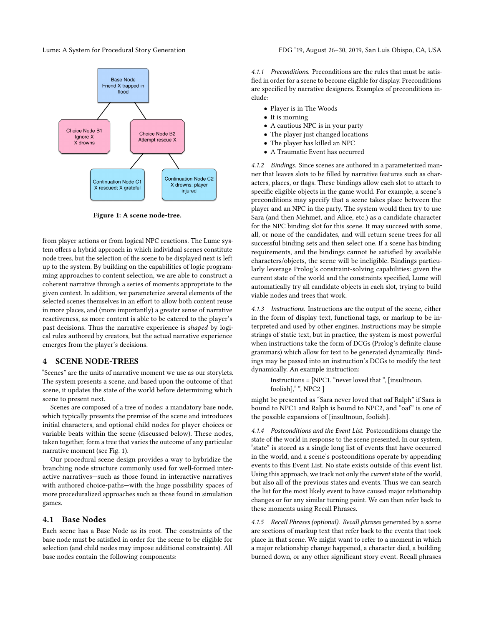<span id="page-2-0"></span>

Figure 1: A scene node-tree.

from player actions or from logical NPC reactions. The Lume system offers a hybrid approach in which individual scenes constitute node trees, but the selection of the scene to be displayed next is left up to the system. By building on the capabilities of logic programming approaches to content selection, we are able to construct a coherent narrative through a series of moments appropriate to the given context. In addition, we parameterize several elements of the selected scenes themselves in an effort to allow both content reuse in more places, and (more importantly) a greater sense of narrative reactiveness, as more content is able to be catered to the player's past decisions. Thus the narrative experience is shaped by logical rules authored by creators, but the actual narrative experience emerges from the player's decisions.

# 4 SCENE NODE-TREES

"Scenes" are the units of narrative moment we use as our storylets. The system presents a scene, and based upon the outcome of that scene, it updates the state of the world before determining which scene to present next.

Scenes are composed of a tree of nodes: a mandatory base node, which typically presents the premise of the scene and introduces initial characters, and optional child nodes for player choices or variable beats within the scene (discussed below). These nodes, taken together, form a tree that varies the outcome of any particular narrative moment (see Fig. [1\)](#page-2-0).

Our procedural scene design provides a way to hybridize the branching node structure commonly used for well-formed interactive narratives—such as those found in interactive narratives with authored choice-paths—with the huge possibility spaces of more proceduralized approaches such as those found in simulation games.

# 4.1 Base Nodes

Each scene has a Base Node as its root. The constraints of the base node must be satisfied in order for the scene to be eligible for selection (and child nodes may impose additional constraints). All base nodes contain the following components:

4.1.1 Preconditions. Preconditions are the rules that must be satisfied in order for a scene to become eligible for display. Preconditions are specified by narrative designers. Examples of preconditions include:

- Player is in The Woods
- It is morning
- A cautious NPC is in your party
- The player just changed locations
- The player has killed an NPC
- A Traumatic Event has occurred

4.1.2 Bindings. Since scenes are authored in a parameterized manner that leaves slots to be filled by narrative features such as characters, places, or flags. These bindings allow each slot to attach to specific eligible objects in the game world. For example, a scene's preconditions may specify that a scene takes place between the player and an NPC in the party. The system would then try to use Sara (and then Mehmet, and Alice, etc.) as a candidate character for the NPC binding slot for this scene. It may succeed with some, all, or none of the candidates, and will return scene trees for all successful binding sets and then select one. If a scene has binding requirements, and the bindings cannot be satisfied by available characters/objects, the scene will be ineligible. Bindings particularly leverage Prolog's constraint-solving capabilities: given the current state of the world and the constraints specified, Lume will automatically try all candidate objects in each slot, trying to build viable nodes and trees that work.

4.1.3 Instructions. Instructions are the output of the scene, either in the form of display text, functional tags, or markup to be interpreted and used by other engines. Instructions may be simple strings of static text, but in practice, the system is most powerful when instructions take the form of DCGs (Prolog's definite clause grammars) which allow for text to be generated dynamically. Bindings may be passed into an instruction's DCGs to modify the text dynamically. An example instruction:

Instructions = [NPC1, "never loved that ", [insultnoun, foolish],", NPC2 ]

might be presented as "Sara never loved that oaf Ralph" if Sara is bound to NPC1 and Ralph is bound to NPC2, and "oaf" is one of the possible expansions of [insultnoun, foolish].

4.1.4 Postconditions and the Event List. Postconditions change the state of the world in response to the scene presented. In our system, "state" is stored as a single long list of events that have occurred in the world, and a scene's postconditions operate by appending events to this Event List. No state exists outside of this event list. Using this approach, we track not only the current state of the world, but also all of the previous states and events. Thus we can search the list for the most likely event to have caused major relationship changes or for any similar turning point. We can then refer back to these moments using Recall Phrases.

4.1.5 Recall Phrases (optional). Recall phrases generated by a scene are sections of markup text that refer back to the events that took place in that scene. We might want to refer to a moment in which a major relationship change happened, a character died, a building burned down, or any other significant story event. Recall phrases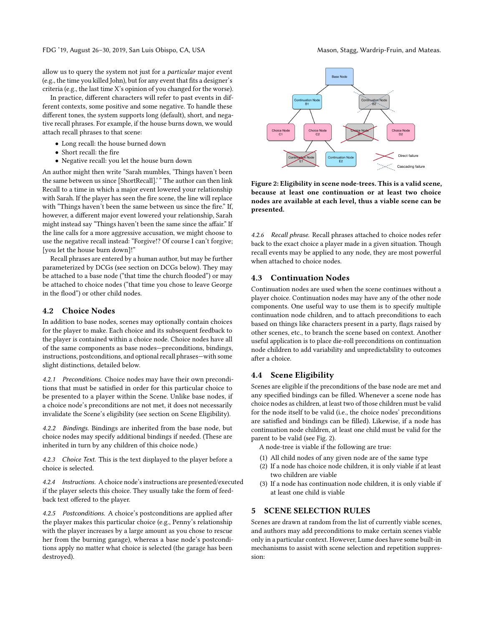FDG '19, August 26-30, 2019, San Luis Obispo, CA, USA Mason, Stagg, Wardrip-Fruin, and Mateas.

allow us to query the system not just for a particular major event (e.g., the time you killed John), but for any event that fits a designer's criteria (e.g., the last time X's opinion of you changed for the worse).

In practice, different characters will refer to past events in different contexts, some positive and some negative. To handle these different tones, the system supports long (default), short, and negative recall phrases. For example, if the house burns down, we would attach recall phrases to that scene:

- Long recall: the house burned down
- Short recall: the fire
- Negative recall: you let the house burn down

An author might then write "Sarah mumbles, 'Things haven't been the same between us since [ShortRecall].' " The author can then link Recall to a time in which a major event lowered your relationship with Sarah. If the player has seen the fire scene, the line will replace with "Things haven't been the same between us since the fire." If, however, a different major event lowered your relationship, Sarah might instead say "Things haven't been the same since the affair." If the line calls for a more aggressive accusation, we might choose to use the negative recall instead: "Forgive!? Of course I can't forgive; [you let the house burn down]!"

Recall phrases are entered by a human author, but may be further parameterized by DCGs (see section on DCGs below). They may be attached to a base node ("that time the church flooded") or may be attached to choice nodes ("that time you chose to leave George in the flood") or other child nodes.

#### 4.2 Choice Nodes

In addition to base nodes, scenes may optionally contain choices for the player to make. Each choice and its subsequent feedback to the player is contained within a choice node. Choice nodes have all of the same components as base nodes—preconditions, bindings, instructions, postconditions, and optional recall phrases—with some slight distinctions, detailed below.

4.2.1 Preconditions. Choice nodes may have their own preconditions that must be satisfied in order for this particular choice to be presented to a player within the Scene. Unlike base nodes, if a choice node's preconditions are not met, it does not necessarily invalidate the Scene's eligibility (see section on Scene Eligibility).

4.2.2 Bindings. Bindings are inherited from the base node, but choice nodes may specify additional bindings if needed. (These are inherited in turn by any children of this choice node.)

4.2.3 Choice Text. This is the text displayed to the player before a choice is selected.

4.2.4 Instructions. A choice node's instructions are presented/executed if the player selects this choice. They usually take the form of feedback text offered to the player.

4.2.5 Postconditions. A choice's postconditions are applied after the player makes this particular choice (e.g., Penny's relationship with the player increases by a large amount as you chose to rescue her from the burning garage), whereas a base node's postconditions apply no matter what choice is selected (the garage has been destroyed).

<span id="page-3-0"></span>

Figure 2: Eligibility in scene node-trees. This is a valid scene, because at least one continuation or at least two choice nodes are available at each level, thus a viable scene can be presented.

4.2.6 Recall phrase. Recall phrases attached to choice nodes refer back to the exact choice a player made in a given situation. Though recall events may be applied to any node, they are most powerful when attached to choice nodes.

# 4.3 Continuation Nodes

Continuation nodes are used when the scene continues without a player choice. Continuation nodes may have any of the other node components. One useful way to use them is to specify multiple continuation node children, and to attach preconditions to each based on things like characters present in a party, flags raised by other scenes, etc., to branch the scene based on context. Another useful application is to place die-roll preconditions on continuation node children to add variability and unpredictability to outcomes after a choice.

### 4.4 Scene Eligibility

Scenes are eligible if the preconditions of the base node are met and any specified bindings can be filled. Whenever a scene node has choice nodes as children, at least two of those children must be valid for the node itself to be valid (i.e., the choice nodes' preconditions are satisfied and bindings can be filled). Likewise, if a node has continuation node children, at least one child must be valid for the parent to be valid (see Fig. [2\)](#page-3-0).

A node-tree is viable if the following are true:

- (1) All child nodes of any given node are of the same type
- (2) If a node has choice node children, it is only viable if at least two children are viable
- If a node has continuation node children, it is only viable if at least one child is viable

# 5 SCENE SELECTION RULES

Scenes are drawn at random from the list of currently viable scenes, and authors may add preconditions to make certain scenes viable only in a particular context. However, Lume does have some built-in mechanisms to assist with scene selection and repetition suppression: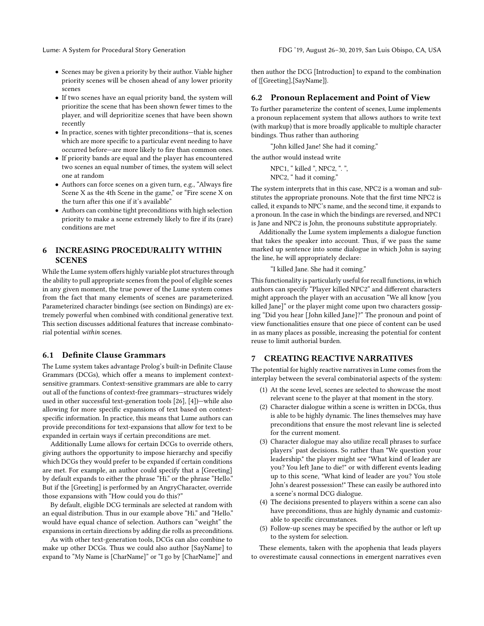- Scenes may be given a priority by their author. Viable higher priority scenes will be chosen ahead of any lower priority scenes
- If two scenes have an equal priority band, the system will prioritize the scene that has been shown fewer times to the player, and will deprioritize scenes that have been shown recently
- In practice, scenes with tighter preconditions—that is, scenes which are more specific to a particular event needing to have occurred before—are more likely to fire than common ones.
- If priority bands are equal and the player has encountered two scenes an equal number of times, the system will select one at random
- Authors can force scenes on a given turn, e.g., "Always fire Scene X as the 4th Scene in the game," or "Fire scene X on the turn after this one if it's available"
- Authors can combine tight preconditions with high selection priority to make a scene extremely likely to fire if its (rare) conditions are met

# 6 INCREASING PROCEDURALITY WITHIN **SCENES**

While the Lume system offers highly variable plot structures through the ability to pull appropriate scenes from the pool of eligible scenes in any given moment, the true power of the Lume system comes from the fact that many elements of scenes are parameterized. Parameterized character bindings (see section on Bindings) are extremely powerful when combined with conditional generative text. This section discusses additional features that increase combinatorial potential within scenes.

### 6.1 Definite Clause Grammars

The Lume system takes advantage Prolog's built-in Definite Clause Grammars (DCGs), which offer a means to implement contextsensitive grammars. Context-sensitive grammars are able to carry out all of the functions of context-free grammars—structures widely used in other successful text-generation tools [\[26\]](#page-8-16), [\[4\]](#page-7-5))—while also allowing for more specific expansions of text based on contextspecific information. In practice, this means that Lume authors can provide preconditions for text-expansions that allow for text to be expanded in certain ways if certain preconditions are met.

Additionally Lume allows for certain DCGs to override others, giving authors the opportunity to impose hierarchy and specifiy which DCGs they would prefer to be expanded if certain conditions are met. For example, an author could specify that a [Greeting] by default expands to either the phrase "Hi." or the phrase "Hello." But if the [Greeting] is performed by an AngryCharacter, override those expansions with "How could you do this?"

By default, eligible DCG terminals are selected at random with an equal distribution. Thus in our example above "Hi." and "Hello." would have equal chance of selection. Authors can "weight" the expansions in certain directions by adding die rolls as preconditions.

As with other text-generation tools, DCGs can also combine to make up other DCGs. Thus we could also author [SayName] to expand to "My Name is [CharName]" or "I go by [CharName]" and then author the DCG [Introduction] to expand to the combination of {[Greeting],[SayName]}.

### 6.2 Pronoun Replacement and Point of View

To further parameterize the content of scenes, Lume implements a pronoun replacement system that allows authors to write text (with markup) that is more broadly applicable to multiple character bindings. Thus rather than authoring

"John killed Jane! She had it coming."

the author would instead write

NPC1, " killed ", NPC2, ". ", NPC2, " had it coming."

The system interprets that in this case, NPC2 is a woman and substitutes the appropriate pronouns. Note that the first time NPC2 is called, it expands to NPC's name, and the second time, it expands to a pronoun. In the case in which the bindings are reversed, and NPC1 is Jane and NPC2 is John, the pronouns substitute appropriately.

Additionally the Lume system implements a dialogue function that takes the speaker into account. Thus, if we pass the same marked up sentence into some dialogue in which John is saying the line, he will appropriately declare:

"I killed Jane. She had it coming."

This functionality is particularly useful for recall functions, in which authors can specify "Player killed NPC2" and different characters might approach the player with an accusation "We all know [you killed Jane]" or the player might come upon two characters gossiping "Did you hear [John killed Jane]?" The pronoun and point of view functionalities ensure that one piece of content can be used in as many places as possible, increasing the potential for content reuse to limit authorial burden.

# 7 CREATING REACTIVE NARRATIVES

The potential for highly reactive narratives in Lume comes from the interplay between the several combinatorial aspects of the system:

- (1) At the scene level, scenes are selected to showcase the most relevant scene to the player at that moment in the story.
- (2) Character dialogue within a scene is written in DCGs, thus is able to be highly dynamic. The lines themselves may have preconditions that ensure the most relevant line is selected for the current moment.
- (3) Character dialogue may also utilize recall phrases to surface players' past decisions. So rather than "We question your leadership." the player might see "What kind of leader are you? You left Jane to die!" or with different events leading up to this scene, "What kind of leader are you? You stole John's dearest possession!" These can easily be authored into a scene's normal DCG dialogue.
- (4) The decisions presented to players within a scene can also have preconditions, thus are highly dynamic and customizable to specific circumstances.
- (5) Follow-up scenes may be specified by the author or left up to the system for selection.

These elements, taken with the apophenia that leads players to overestimate causal connections in emergent narratives even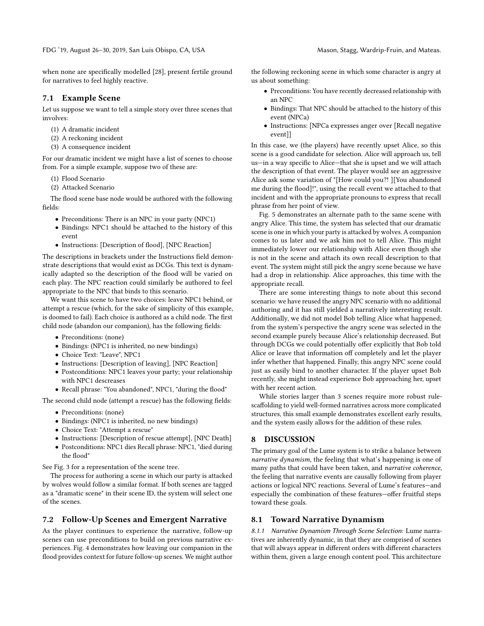FDG '19, August 26–30, 2019, San Luis Obispo, CA, USA Mason, Stagg, Wardrip-Fruin, and Mateas.

when none are specifically modelled [\[28\]](#page-8-15), present fertile ground for narratives to feel highly reactive.

# 7.1 Example Scene

Let us suppose we want to tell a simple story over three scenes that involves:

- (1) A dramatic incident
- (2) A reckoning incident
- (3) A consequence incident

For our dramatic incident we might have a list of scenes to choose from. For a simple example, suppose two of these are:

- (1) Flood Scenario
- (2) Attacked Scenario

The flood scene base node would be authored with the following fields:

- Preconditions: There is an NPC in your party (NPC1)
- Bindings: NPC1 should be attached to the history of this event
- Instructions: [Description of flood], [NPC Reaction]

The descriptions in brackets under the Instructions field demonstrate descriptions that would exist as DCGs. This text is dynamically adapted so the description of the flood will be varied on each play. The NPC reaction could similarly be authored to feel appropriate to the NPC that binds to this scenario.

We want this scene to have two choices: leave NPC1 behind, or attempt a rescue (which, for the sake of simplicity of this example, is doomed to fail). Each choice is authored as a child node. The first child node (abandon our companion), has the following fields:

- Preconditions: (none)
- Bindings: (NPC1 is inherited, no new bindings)
- Choice Text: "Leave", NPC1
- Instructions: [Description of leaving], [NPC Reaction]
- Postconditions: NPC1 leaves your party; your relationship with NPC1 descreases
- Recall phrase: "You abandoned", NPC1, "during the flood"

The second child node (attempt a rescue) has the following fields:

- Preconditions: (none)
- Bindings: (NPC1 is inherited, no new bindings)
- Choice Text: "Attempt a rescue"
- Instructions: [Description of rescue attempt], [NPC Death]
- Postconditions: NPC1 dies Recall phrase: NPC1, "died during the flood"

See Fig. [3](#page-6-0) for a representation of the scene tree.

The process for authoring a scene in which our party is attacked by wolves would follow a similar format. If both scenes are tagged as a "dramatic scene" in their scene ID, the system will select one of the scenes.

# 7.2 Follow-Up Scenes and Emergent Narrative

As the player continues to experience the narrative, follow-up scenes can use preconditions to build on previous narrative experiences. Fig. [4](#page-7-6) demonstrates how leaving our companion in the flood provides context for future follow-up scenes. We might author

the following reckoning scene in which some character is angry at us about something:

- Preconditions: You have recently decreased relationship with an NPC
- Bindings: That NPC should be attached to the history of this event (NPCa)
- Instructions: [NPCa expresses anger over [Recall negative event]]

In this case, we (the players) have recently upset Alice, so this scene is a good candidate for selection. Alice will approach us, tell us—in a way specific to Alice—that she is upset and we will attach the description of that event. The player would see an aggressive Alice ask some variation of "[How could you?! ][You abandoned me during the flood]!", using the recall event we attached to that incident and with the appropriate pronouns to express that recall phrase from her point of view.

Fig. [5](#page-7-7) demonstrates an alternate path to the same scene with angry Alice. This time, the system has selected that our dramatic scene is one in which your party is attacked by wolves. A companion comes to us later and we ask him not to tell Alice. This might immediately lower our relationship with Alice even though she is not in the scene and attach its own recall description to that event. The system might still pick the angry scene because we have had a drop in relationship. Alice approaches, this time with the appropriate recall.

There are some interesting things to note about this second scenario: we have reused the angry NPC scenario with no additional authoring and it has still yielded a narratively interesting result. Additionally, we did not model Bob telling Alice what happened; from the system's perspective the angry scene was selected in the second example purely because Alice's relationship decreased. But through DCGs we could potentially offer explicitly that Bob told Alice or leave that information off completely and let the player infer whether that happened. Finally, this angry NPC scene could just as easily bind to another character. If the player upset Bob recently, she might instead experience Bob approaching her, upset with her recent action.

While stories larger than 3 scenes require more robust rulescaffolding to yield well-formed narratives across more complicated structures, this small example demonstrates excellent early results, and the system easily allows for the addition of these rules.

# 8 DISCUSSION

The primary goal of the Lume system is to strike a balance between narrative dynamism, the feeling that what's happening is one of many paths that could have been taken, and narrative coherence, the feeling that narrative events are causally following from player actions or logical NPC reactions. Several of Lume's features—and especially the combination of these features—offer fruitful steps toward these goals.

# 8.1 Toward Narrative Dynamism

8.1.1 Narrative Dynamism Through Scene Selection: Lume narratives are inherently dynamic, in that they are comprised of scenes that will always appear in different orders with different characters within them, given a large enough content pool. This architecture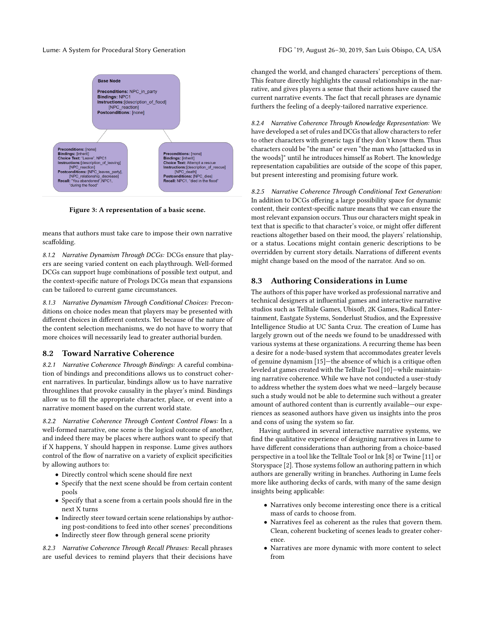<span id="page-6-0"></span>

Figure 3: A representation of a basic scene.

means that authors must take care to impose their own narrative scaffolding.

8.1.2 Narrative Dynamism Through DCGs: DCGs ensure that players are seeing varied content on each playthrough. Well-formed DCGs can support huge combinations of possible text output, and the context-specific nature of Prologs DCGs mean that expansions can be tailored to current game circumstances.

8.1.3 Narrative Dynamism Through Conditional Choices: Preconditions on choice nodes mean that players may be presented with different choices in different contexts. Yet because of the nature of the content selection mechanisms, we do not have to worry that more choices will necessarily lead to greater authorial burden.

#### 8.2 Toward Narrative Coherence

8.2.1 Narrative Coherence Through Bindings: A careful combination of bindings and preconditions allows us to construct coherent narratives. In particular, bindings allow us to have narrative throughlines that provoke causality in the player's mind. Bindings allow us to fill the appropriate character, place, or event into a narrative moment based on the current world state.

8.2.2 Narrative Coherence Through Content Control Flows: In a well-formed narrative, one scene is the logical outcome of another, and indeed there may be places where authors want to specify that if X happens, Y should happen in response. Lume gives authors control of the flow of narrative on a variety of explicit specificities by allowing authors to:

- Directly control which scene should fire next
- Specify that the next scene should be from certain content pools
- Specify that a scene from a certain pools should fire in the next X turns
- Indirectly steer toward certain scene relationships by authoring post-conditions to feed into other scenes' preconditions
- Indirectly steer flow through general scene priority

8.2.3 Narrative Coherence Through Recall Phrases: Recall phrases are useful devices to remind players that their decisions have changed the world, and changed characters' perceptions of them. This feature directly highlights the causal relationships in the narrative, and gives players a sense that their actions have caused the current narrative events. The fact that recall phrases are dynamic furthers the feeling of a deeply-tailored narrative experience.

8.2.4 Narrative Coherence Through Knowledge Representation: We have developed a set of rules and DCGs that allow characters to refer to other characters with generic tags if they don't know them. Thus characters could be "the man" or even "the man who [attacked us in the woods]" until he introduces himself as Robert. The knowledge representation capabilities are outside of the scope of this paper, but present interesting and promising future work.

8.2.5 Narrative Coherence Through Conditional Text Generation: In addition to DCGs offering a large possibility space for dynamic content, their context-specific nature means that we can ensure the most relevant expansion occurs. Thus our characters might speak in text that is specific to that character's voice, or might offer different reactions altogether based on their mood, the players' relationship, or a status. Locations might contain generic descriptions to be overridden by current story details. Narrations of different events might change based on the mood of the narrator. And so on.

# 8.3 Authoring Considerations in Lume

The authors of this paper have worked as professional narrative and technical designers at influential games and interactive narrative studios such as Telltale Games, Ubisoft, 2K Games, Radical Entertainment, Eastgate Systems, Sonderlust Studios, and the Expressive Intelligence Studio at UC Santa Cruz. The creation of Lume has largely grown out of the needs we found to be unaddressed with various systems at these organizations. A recurring theme has been a desire for a node-based system that accommodates greater levels of genuine dynamism [\[15\]](#page-8-17)—the absence of which is a critique often leveled at games created with the Telltale Tool [\[10\]](#page-7-8)—while maintaining narrative coherence. While we have not conducted a user-study to address whether the system does what we need—largely because such a study would not be able to determine such without a greater amount of authored content than is currently available—our experiences as seasoned authors have given us insights into the pros and cons of using the system so far.

Having authored in several interactive narrative systems, we find the qualitative experience of designing narratives in Lume to have different considerations than authoring from a choice-based perspective in a tool like the Telltale Tool or Ink [\[8\]](#page-7-9) or Twine [\[11\]](#page-7-10) or Storyspace [\[2\]](#page-7-11). Those systems follow an authoring pattern in which authors are generally writing in branches. Authoring in Lume feels more like authoring decks of cards, with many of the same design insights being applicable:

- Narratives only become interesting once there is a critical mass of cards to choose from.
- Narratives feel as coherent as the rules that govern them. Clean, coherent bucketing of scenes leads to greater coherence.
- Narratives are more dynamic with more content to select from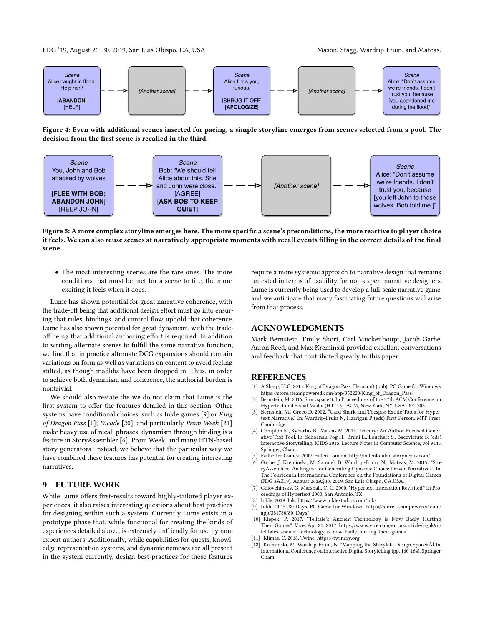FDG '19, August 26-30, 2019, San Luis Obispo, CA, USA Mason, Stagg, Wardrip-Fruin, and Mateas.

<span id="page-7-6"></span>

Figure 4: Even with additional scenes inserted for pacing, a simple storyline emerges from scenes selected from a pool. The decision from the first scene is recalled in the third.

<span id="page-7-7"></span>

Figure 5: A more complex storyline emerges here. The more specific a scene's preconditions, the more reactive to player choice it feels. We can also reuse scenes at narratively appropriate moments with recall events filling in the correct details of the final scene.

• The most interesting scenes are the rare ones. The more conditions that must be met for a scene to fire, the more exciting it feels when it does.

Lume has shown potential for great narrative coherence, with the trade-off being that additional design effort must go into ensuring that rules, bindings, and control flow uphold that coherence. Lume has also shown potential for great dynamism, with the tradeoff being that additional authoring effort is required. In addition to writing alternate scenes to fulfill the same narrative function, we find that in practice alternate DCG expansions should contain variations on form as well as variations on content to avoid feeling stilted, as though madlibs have been dropped in. Thus, in order to achieve both dynamism and coherence, the authorial burden is nontrivial.

We should also restate the we do not claim that Lume is the first system to offer the features detailed in this section. Other systems have conditional choices, such as Inkle games [\[9\]](#page-7-12) or King of Dragon Pass [\[1\]](#page-7-13); Facade [\[20\]](#page-8-12), and particularly Prom Week [\[21\]](#page-8-13) make heavy use of recall phrases; dynamism through binding is a feature in StoryAssembler [\[6\]](#page-7-4), Prom Week, and many HTN-based story generators. Instead, we believe that the particular way we have combined these features has potential for creating interesting narratives.

# 9 FUTURE WORK

While Lume offers first-results toward highly-tailored player experiences, it also raises interesting questions about best practices for designing within such a system. Currently Lume exists in a prototype phase that, while functional for creating the kinds of experiences detailed above, is extremely unfriendly for use by nonexpert authors. Additionally, while capabilities for quests, knowledge representation systems, and dynamic nemeses are all present in the system currently, design best-practices for these features

require a more systemic approach to narrative design that remains untested in terms of usability for non-expert narrative designers. Lume is currently being used to develop a full-scale narrative game, and we anticipate that many fascinating future questions will arise from that process.

# ACKNOWLEDGMENTS

Mark Bernstein, Emily Short, Carl Muckenhoupt, Jacob Garbe, Aaron Reed, and Max Kreminski provided excellent conversations and feedback that contributed greatly to this paper.

#### **REFERENCES**

- <span id="page-7-13"></span>[1] A Sharp, LLC. 2015. King of Dragon Pass. Herocraft (pub). PC Game for Windows. [https://store.steampowered.com/app/352220/King\\_of\\_Dragon\\_Pass/](https://store.steampowered.com/app/352220/King_of_Dragon_Pass/)
- <span id="page-7-11"></span>[2] Bernstein, M. 2016. Storyspace 3. In Proceedings of the 27th ACM Conference on Hypertext and Social Media (HT '16). ACM, New York, NY, USA, 201-206.
- <span id="page-7-2"></span>[3] Bernstein M., Greco D. 2002. "Card Shark and Thespis: Exotic Tools for Hypertext Narrative." In: Wardrip-Fruin N, Harrigan P (eds) First Person. MIT Press, Cambridge.
- <span id="page-7-5"></span>[4] Compton K., Kybartas B., Mateas M. 2015. Tracery: An Author-Focused Generative Text Tool. In: Schoenau-Fog H., Bruni L., Louchart S., Baceviciute S. (eds) Interactive Storytelling. ICIDS 2015. Lecture Notes in Computer Science, vol 9445. Springer, Cham.
- <span id="page-7-1"></span>Failbetter Games. 2009. Fallen London.<http://fallenlondon.storynexus.com/>
- <span id="page-7-4"></span>[6] Garbe, J. Kreminski, M. Samuel, B. Wardrip-Fruin, N., Mateas, M. 2019. "StoryAssembler: An Engine for Generating Dynamic Choice-Driven Narratives". In: The Fourteenth International Conference on the Foundations of Digital Games (FDG âĂŹ19), August 26âĂŞ30, 2019, San Luis Obispo, CA,USA.
- <span id="page-7-3"></span>[7] Golovchinsky, G. Marshall, C. C. 2000. "Hypertext Interaction Revisited." In Proceedings of Hypertext 2000, San Antonio, TX.
- <span id="page-7-9"></span>Inkle. 2019. Ink.<https://www.inklestudios.com/ink/>
- <span id="page-7-12"></span>[9] Inkle. 2015. 80 Days. PC Game for Windows. [https://store.steampowered.com/](https://store.steampowered.com/app/381780/80_Days/) [app/381780/80\\_Days/](https://store.steampowered.com/app/381780/80_Days/)
- <span id="page-7-8"></span>[10] Klepek, P. 2017. "Telltale's Ancient Technology is Now Badly Hurting Their Games". Vice: Apr 21, 2017. [https://www.vice.com/en\\_us/article/pg5k9n/](https://www.vice.com/en_us/article/pg5k9n/telltales-ancient-technology-is-now-badly-hurting-their-games) [telltales-ancient-technology-is-now-badly-hurting-their-games](https://www.vice.com/en_us/article/pg5k9n/telltales-ancient-technology-is-now-badly-hurting-their-games)
- <span id="page-7-10"></span>[11] Klimas, C. 2018. Twine.<https://twinery.org>
- <span id="page-7-0"></span>[12] Kreminski, M. Wardrip-Fruin, N. "Mapping the Storylets Design SpaceâĂİ In: International Conference on Interactive Digital Storytelling (pp. 160-164). Springer, Cham.